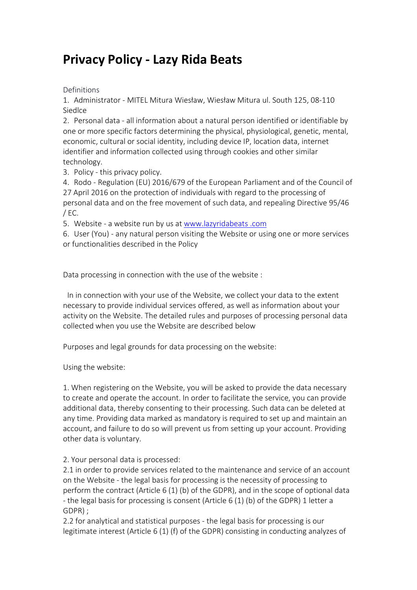# **Privacy Policy - Lazy Rida Beats**

Definitions

1. Administrator - MITEL Mitura Wiesław, Wiesław Mitura ul. South 125, 08-110 Siedlce

2. Personal data - all information about a natural person identified or identifiable by one or more specific factors determining the physical, physiological, genetic, mental, economic, cultural or social identity, including device IP, location data, internet identifier and information collected using through cookies and other similar technology.

3. Policy - this privacy policy.

4. Rodo - Regulation (EU) 2016/679 of the European Parliament and of the Council of 27 April 2016 on the protection of individuals with regard to the processing of personal data and on the free movement of such data, and repealing Directive 95/46 / EC.

5. Website - a website run by us at [www.lazyridabeats](https://www.lazyridabeats.com) .com

6. User (You) - any natural person visiting the Website or using one or more services or functionalities described in the Policy

Data processing in connection with the use of the website :

In in connection with your use of the Website, we collect your data to the extent necessary to provide individual services offered, as well as information about your activity on the Website. The detailed rules and purposes of processing personal data collected when you use the Website are described below

Purposes and legal grounds for data processing on the website:

Using the website:

1. When registering on the Website, you will be asked to provide the data necessary to create and operate the account. In order to facilitate the service, you can provide additional data, thereby consenting to their processing. Such data can be deleted at any time. Providing data marked as mandatory is required to set up and maintain an account, and failure to do so will prevent us from setting up your account. Providing other data is voluntary.

2. Your personal data is processed:

2.1 in order to provide services related to the maintenance and service of an account on the Website - the legal basis for processing is the necessity of processing to perform the contract (Article 6 (1) (b) of the GDPR), and in the scope of optional data - the legal basis for processing is consent (Article 6 (1) (b) of the GDPR) 1 letter a GDPR) ;

2.2 for analytical and statistical purposes - the legal basis for processing is our legitimate interest (Article 6 (1) (f) of the GDPR) consisting in conducting analyzes of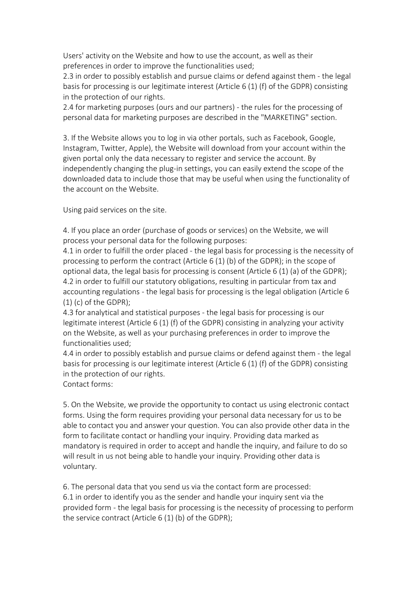Users' activity on the Website and how to use the account, as well as their preferences in order to improve the functionalities used;

2.3 in order to possibly establish and pursue claims or defend against them - the legal basis for processing is our legitimate interest (Article 6 (1) (f) of the GDPR) consisting in the protection of our rights.

2.4 for marketing purposes (ours and our partners) - the rules for the processing of personal data for marketing purposes are described in the "MARKETING" section.

3. If the Website allows you to log in via other portals, such as Facebook, Google, Instagram, Twitter, Apple), the Website will download from your account within the given portal only the data necessary to registerand service the account. By independently changing the plug-in settings, you can easily extend the scope of the downloaded data to include those that may be useful when using the functionality of the account on the Website.

Using paid services on the site.

4. If you place an order (purchase of goods or services) on the Website, we will process your personal data for the following purposes:

4.1 in order to fulfill the order placed - the legal basis for processing is the necessity of processing to perform the contract (Article 6 (1) (b) of the GDPR); in the scope of optional data, the legal basis for processing is consent (Article 6 (1) (a) of the GDPR); 4.2 in order to fulfill our statutory obligations, resulting in particular from tax and accounting regulations - the legal basis for processing is the legal obligation (Article 6 (1) (c) of the GDPR);

4.3 for analytical and statistical purposes - the legal basis for processing is our legitimate interest (Article 6 (1) (f) of the GDPR) consisting in analyzing your activity on the Website, as well as your purchasing preferences in order to improve the functionalities used;

4.4 in order to possibly establish and pursue claims or defend against them - the legal basis for processing is our legitimate interest (Article 6 (1) (f) of the GDPR) consisting in the protection of our rights.

Contact forms:

5. On the Website, we provide the opportunity to contact us using electronic contact forms. Using the form requires providing your personal data necessary for us to be able to contact you and answer your question. You can also provide other data in the form to facilitate contact or handling your inquiry. Providing data marked as mandatory is required in order to accept and handle the inquiry, and failure to do so will result in us not being able to handle your inquiry. Providing other data is voluntary.

6. The personal data that you send us via the contact form are processed: 6.1 in order to identify you as the sender and handle your inquiry sent via the provided form - the legal basis for processing is the necessity of processing to perform the service contract (Article 6 (1) (b) of the GDPR);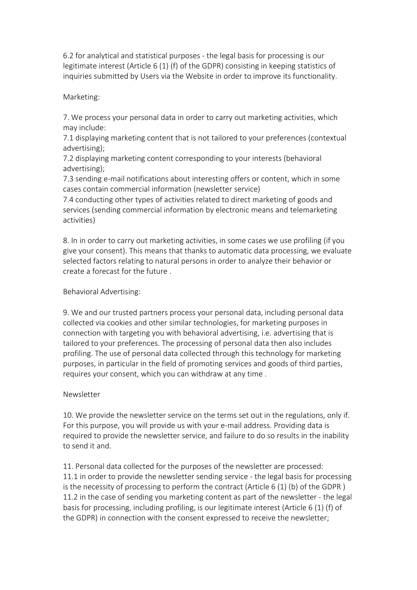6.2 for analytical and statistical purposes - the legal basis for processing is our legitimate interest (Article 6 (1) (f) of the GDPR) consisting in keeping statistics of inquiries submitted by Users via the Website in order to improve its functionality.

# Marketing:

7. We process your personal data in order to carry out marketing activities, which may include:

7.1 displaying marketing content that is not tailored to your preferences (contextual advertising);

7.2 displaying marketing content corresponding to your interests (behavioral advertising);

7.3 sending e-mail notifications about interesting offers or content, which in some cases contain commercial information (newsletter service)

7.4 conducting other types of activities related to direct marketing of goods and services (sending commercial information by electronic means and telemarketing activities)

8. In in order to carry out marketing activities, in some cases we use profiling (if you give your consent). This means that thanks to automatic data processing, we evaluate selected factors relating to natural persons in order to analyze their behavior or create a forecast for the future .

# Behavioral Advertising:

9. We and our trusted partners process your personal data, including personal data collected via cookies and other similar technologies, for marketing purposes in connection with targeting you with behavioral advertising, i.e. advertising that is tailored to your preferences. The processing of personal data then also includes profiling. The use of personal data collected through this technology for marketing purposes, in particular in the field of promoting services and goods of third parties, requires your consent, which you can withdraw at any time .

# Newsletter

10. We provide the newsletter service on the terms set out in the regulations, only if. For this purpose, you will provide us with your e-mail address. Providing data is required to provide the newsletter service, and failure to do so results in the inability to send it and.

11. Personal data collected for the purposes of the newsletter are processed: 11.1 in order to provide the newsletter sending service - the legal basis for processing is the necessity of processing to perform the contract (Article 6 (1) (b) of the GDPR ) 11.2 in the case of sending you marketing content as part of the newsletter - the legal basis for processing, including profiling, is our legitimate interest (Article 6 (1) (f) of the GDPR) in connection with the consent expressed to receive the newsletter;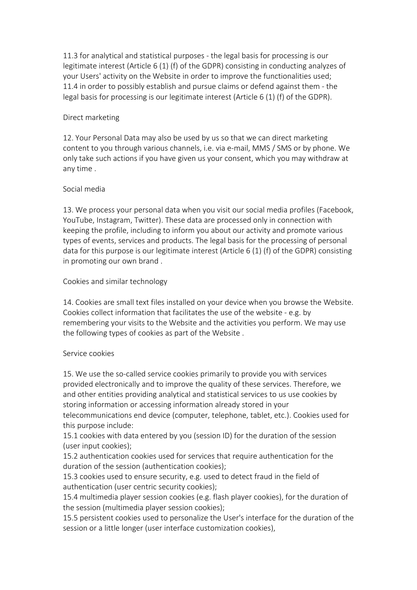11.3 for analytical and statistical purposes - the legal basis for processing is our legitimate interest (Article 6 (1) (f) of the GDPR) consisting in conducting analyzes of your Users' activity on the Website in order to improve the functionalities used; 11.4 in order to possibly establish and pursue claims or defend against them - the legal basis for processing is our legitimate interest (Article 6 (1) (f) of the GDPR).

#### Direct marketing

12. Your Personal Data may also be used by us so that we can direct marketing content to you through various channels, i.e. via e-mail, MMS / SMS or by phone. We only take such actions if you have given us your consent, which you may withdraw at any time .

#### Social media

13. We process your personal data when you visit our social media profiles (Facebook, YouTube, Instagram, Twitter). These data are processed only in connection with keeping the profile, including to inform you about our activity and promote various types of events, services and products. The legal basis for the processing of personal data for this purpose is our legitimate interest (Article 6 (1) (f) of the GDPR) consisting in promoting our own brand .

# Cookies and similar technology

14. Cookies are small text files installed on your device when you browse the Website. Cookies collect information that facilitates the use of the website - e.g. by remembering your visits to the Website and the activities you perform. We may use the following types of cookies as part of the Website .

# Service cookies

15. We use the so-called service cookies primarily to provide you with services provided electronically and to improve the quality of these services. Therefore, we and other entities providing analytical and statistical services to us use cookies by storing information or accessing information already stored in your telecommunications end device (computer, telephone, tablet, etc.). Cookies used for this purpose include:

15.1 cookies with data entered by you (session ID) for the duration of the session (user input cookies);

15.2 authentication cookies used for services that require authentication for the duration of the session (authentication cookies);

15.3 cookies used to ensure security, e.g. used to detect fraud in the field of authentication (user centric security cookies);

15.4 multimedia player session cookies (e.g. flash player cookies), for the duration of the session (multimedia player session cookies);

15.5 persistent cookies used to personalize the User's interface for the duration of the session or a little longer (user interface customization cookies),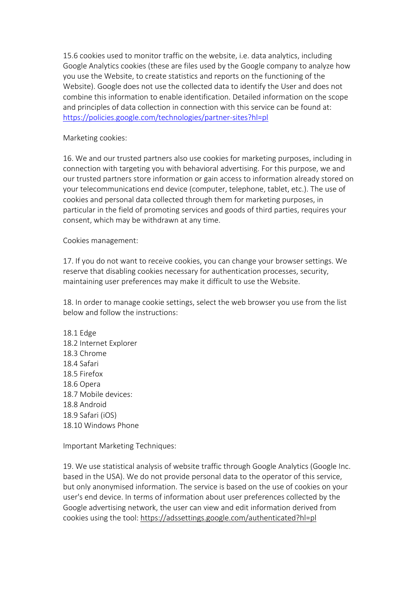15.6 cookies used to monitor traffic on the website, i.e. data analytics, including Google Analytics cookies (these are files used by the Google company to analyze how you use the Website, to create statistics and reports on the functioning of the Website). Google does not use the collected data to identify the User and does not combine this information to enable identification. Detailed information on the scope and principles of data collection in connection with this service can be found at: <https://policies.google.com/technologies/partner-sites?hl=pl>

Marketing cookies:

16. We and our trusted partners also use cookies for marketing purposes, including in connection with targeting you with behavioral advertising. For this purpose, we and our trusted partners store information or gain access to information already stored on your telecommunications end device (computer, telephone, tablet, etc.). The use of cookies and personal data collected through them for marketing purposes, in particular in the field of promoting services and goods of third parties, requires your consent, which may be withdrawn at any time.

Cookies management:

17. If you do not want to receive cookies, you can change your browser settings. We reserve that disabling cookies necessary for authentication processes, security, maintaining user preferences may make it difficult to use the Website.

18. In order to manage cookie settings, select the web browser you use from the list below and follow the instructions:

18.1 Edge 18.2 Internet Explorer 18.3 Chrome 18.4 Safari 18.5 Firefox 18.6 Opera 18.7 Mobile devices: 18.8 Android 18.9 Safari (iOS) 18.10 Windows Phone

Important Marketing Techniques:

19. We use statistical analysis of website traffic through Google Analytics (Google Inc. based in the USA). We do not provide personal data to the operator of this service, but only anonymised information. The service is based on the use of cookies on your user's end device. In terms of information about user preferences collected by the Google advertising network, the user can view and edit information derived from cookies using the tool: <https://adssettings.google.com/authenticated?hl=pl>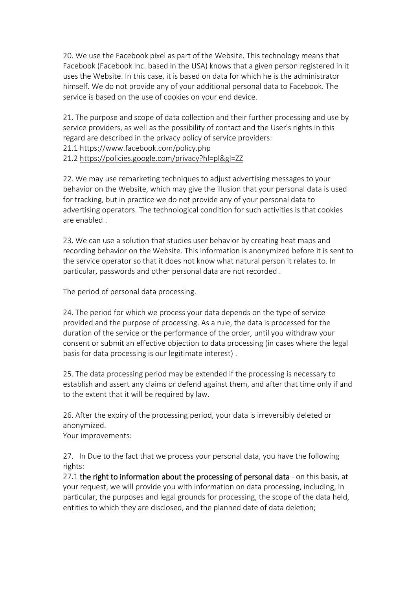20. We use the Facebook pixel as part of the Website. This technology means that Facebook (Facebook Inc. based in the USA) knows that a given person registered in it uses the Website. In this case, it is based on data for which he is the administrator himself. We do not provide any of your additional personal data to Facebook. The service is based on the use of cookies on your end device.

21. The purpose and scope of data collection and their further processing and use by service providers, as well as the possibility of contact and the User's rights in this regard are described in the privacy policy of service providers:

21.1 <https://www.facebook.com/policy.php>

21.2 <https://policies.google.com/privacy?hl=pl&gl=ZZ>

22. We may use remarketing techniques to adjust advertising messages to your behavior on the Website, which may give the illusion that your personal data is used for tracking, but in practice we do not provide any of your personal data to advertising operators. The technological condition for such activities is that cookies are enabled .

23. We can use a solution that studies user behavior by creating heat maps and recording behavior on the Website. This information is anonymized before it is sent to the service operator so that it does not know what natural person it relates to. In particular, passwords and other personal data are not recorded .

The period of personal data processing.

24. The period for which we process your data depends on the type of service provided and the purpose of processing. As a rule, the data is processed for the duration of the service or the performance of the order, until you withdraw your consent or submit an effective objection to data processing (in cases where the legal basis for data processing is our legitimate interest) .

25. The data processing period may be extended if the processing is necessary to establish and assert any claims or defend against them, and after that time only if and to the extent that it will be required by law.

26. After the expiry of the processing period, your data is irreversibly deleted or anonymized.

Your improvements:

27. In Due to the fact that we process your personal data, you have the following rights:

27.1 the right to information about the processing of personal data - on this basis, at your request, we will provide you with information on data processing, including, in particular, the purposes and legal grounds for processing, the scope of the data held, entities to which they are disclosed, and the planned date of data deletion;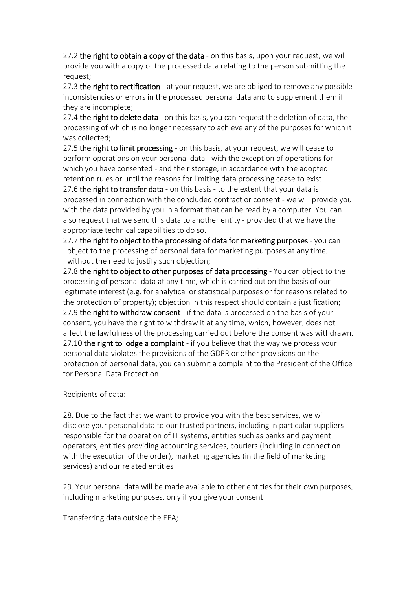27.2 the right to obtain a copy of the data - on this basis, upon your request, we will provide you with a copy of the processed data relating to the person submitting the request;

27.3 the right to rectification - at your request, we are obliged to remove any possible inconsistencies or errors in the processed personal data and to supplement them if they are incomplete;

27.4 the right to delete data - on this basis, you can request the deletion of data, the processing of which is no longer necessary to achieve any of the purposes for which it was collected;

27.5 the right to limit processing - on this basis, at your request, we will cease to perform operations on your personal data - with the exception of operations for which you have consented - and their storage, in accordance with the adopted retention rules or until the reasons for limiting data processing cease to exist 27.6 the right to transfer data - on this basis - to the extent that your data is processed in connection with the concluded contract or consent - we will provide you with the data provided by you in a format that can be read by a computer. You can also request that we send this data to another entity - provided that we have the appropriate technical capabilities to do so.

27.7 the right to object to the processing of data for marketing purposes - you can object to the processing of personal data for marketing purposes at any time, without the need to justify such objection;

27.8 the right to object to other purposes of data processing - You can object to the processing of personal data at any time, which is carried out on the basis of our legitimate interest (e.g. for analytical or statistical purposes or for reasons related to the protection of property); objection in this respect should contain a justification; 27.9 the right to withdraw consent - if the data is processed on the basis of your consent, you have the right to withdraw it at any time, which, however, does not affect the lawfulness of the processing carried out before the consent was withdrawn. 27.10 the right to lodge a complaint - if you believe that the way we process your personal data violates the provisions of the GDPR or other provisions on the protection of personal data, you can submit a complaint to the President of the Office for Personal Data Protection.

Recipients of data:

28. Due to the fact that we want to provide you with the best services, we will disclose your personal data to our trusted partners, including in particular suppliers responsible for the operation of IT systems, entities such as banks and payment operators, entities providing accounting services, couriers (including in connection with the execution of the order), marketing agencies (in the field of marketing services) and our related entities

29. Your personal data will be made available to other entities for their own purposes, including marketing purposes, only if you give your consent

Transferring data outside the EEA;